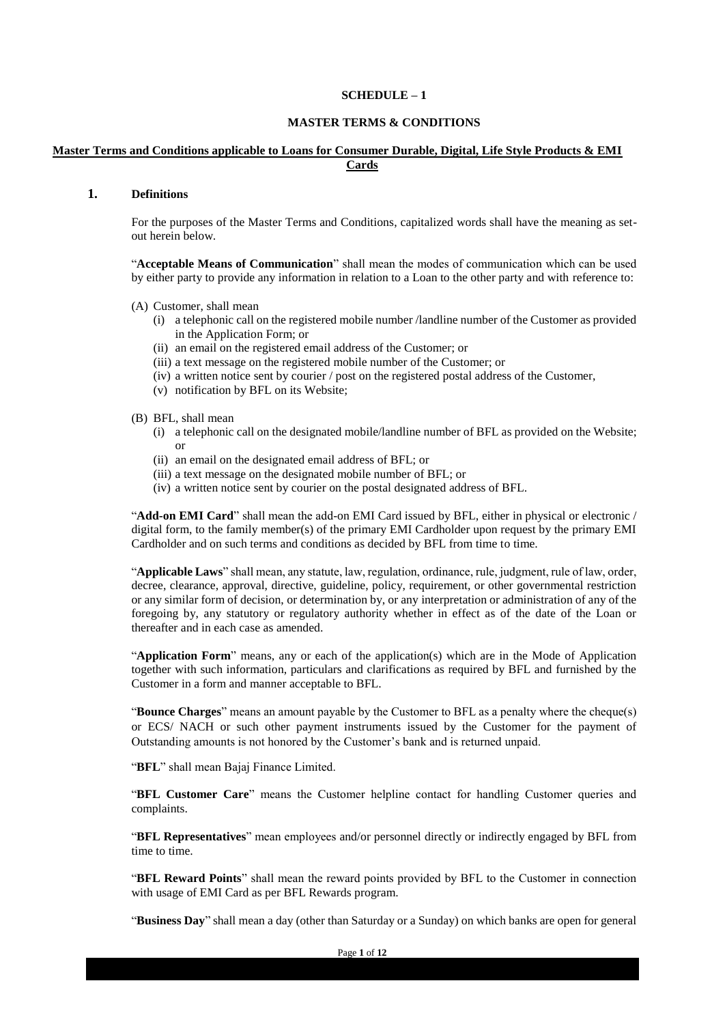#### **SCHEDULE – 1**

#### **MASTER TERMS & CONDITIONS**

### **Master Terms and Conditions applicable to Loans for Consumer Durable, Digital, Life Style Products & EMI Cards**

# **1. Definitions**

For the purposes of the Master Terms and Conditions, capitalized words shall have the meaning as setout herein below.

"**Acceptable Means of Communication**" shall mean the modes of communication which can be used by either party to provide any information in relation to a Loan to the other party and with reference to:

- (A) Customer, shall mean
	- (i) a telephonic call on the registered mobile number /landline number of the Customer as provided in the Application Form; or
	- (ii) an email on the registered email address of the Customer; or
	- (iii) a text message on the registered mobile number of the Customer; or
	- (iv) a written notice sent by courier / post on the registered postal address of the Customer,
	- (v) notification by BFL on its Website;
- (B) BFL, shall mean
	- (i) a telephonic call on the designated mobile/landline number of BFL as provided on the Website; or
	- (ii) an email on the designated email address of BFL; or
	- (iii) a text message on the designated mobile number of BFL; or
	- (iv) a written notice sent by courier on the postal designated address of BFL.

"**Add-on EMI Card**" shall mean the add-on EMI Card issued by BFL, either in physical or electronic / digital form, to the family member(s) of the primary EMI Cardholder upon request by the primary EMI Cardholder and on such terms and conditions as decided by BFL from time to time.

"**Applicable Laws**" shall mean, any statute, law, regulation, ordinance, rule, judgment, rule of law, order, decree, clearance, approval, directive, guideline, policy, requirement, or other governmental restriction or any similar form of decision, or determination by, or any interpretation or administration of any of the foregoing by, any statutory or regulatory authority whether in effect as of the date of the Loan or thereafter and in each case as amended.

"**Application Form**" means, any or each of the application(s) which are in the Mode of Application together with such information, particulars and clarifications as required by BFL and furnished by the Customer in a form and manner acceptable to BFL.

"**Bounce Charges**" means an amount payable by the Customer to BFL as a penalty where the cheque(s) or ECS/ NACH or such other payment instruments issued by the Customer for the payment of Outstanding amounts is not honored by the Customer's bank and is returned unpaid.

"**BFL**" shall mean Bajaj Finance Limited.

"**BFL Customer Care**" means the Customer helpline contact for handling Customer queries and complaints.

"**BFL Representatives**" mean employees and/or personnel directly or indirectly engaged by BFL from time to time.

"**BFL Reward Points**" shall mean the reward points provided by BFL to the Customer in connection with usage of EMI Card as per BFL Rewards program.

"**Business Day**" shall mean a day (other than Saturday or a Sunday) on which banks are open for general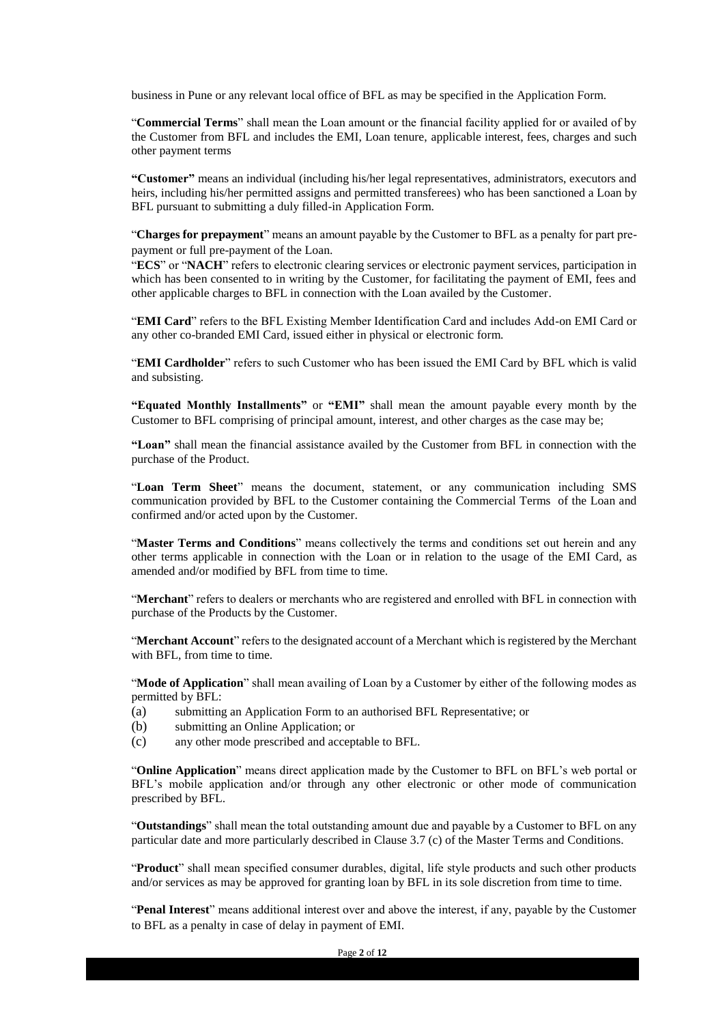business in Pune or any relevant local office of BFL as may be specified in the Application Form.

"**Commercial Terms**" shall mean the Loan amount or the financial facility applied for or availed of by the Customer from BFL and includes the EMI, Loan tenure, applicable interest, fees, charges and such other payment terms

**"Customer"** means an individual (including his/her legal representatives, administrators, executors and heirs, including his/her permitted assigns and permitted transferees) who has been sanctioned a Loan by BFL pursuant to submitting a duly filled-in Application Form.

"**Charges for prepayment**" means an amount payable by the Customer to BFL as a penalty for part prepayment or full pre-payment of the Loan.

"**ECS**" or "**NACH**" refers to electronic clearing services or electronic payment services, participation in which has been consented to in writing by the Customer, for facilitating the payment of EMI, fees and other applicable charges to BFL in connection with the Loan availed by the Customer.

"**EMI Card**" refers to the BFL Existing Member Identification Card and includes Add-on EMI Card or any other co-branded EMI Card, issued either in physical or electronic form.

"**EMI Cardholder**" refers to such Customer who has been issued the EMI Card by BFL which is valid and subsisting.

**"Equated Monthly Installments"** or **"EMI"** shall mean the amount payable every month by the Customer to BFL comprising of principal amount, interest, and other charges as the case may be;

**"Loan"** shall mean the financial assistance availed by the Customer from BFL in connection with the purchase of the Product.

"**Loan Term Sheet**" means the document, statement, or any communication including SMS communication provided by BFL to the Customer containing the Commercial Terms of the Loan and confirmed and/or acted upon by the Customer.

"**Master Terms and Conditions**" means collectively the terms and conditions set out herein and any other terms applicable in connection with the Loan or in relation to the usage of the EMI Card, as amended and/or modified by BFL from time to time.

"**Merchant**" refers to dealers or merchants who are registered and enrolled with BFL in connection with purchase of the Products by the Customer.

"**Merchant Account**" refers to the designated account of a Merchant which is registered by the Merchant with BFL, from time to time.

"**Mode of Application**" shall mean availing of Loan by a Customer by either of the following modes as permitted by BFL:

- (a) submitting an Application Form to an authorised BFL Representative; or
- (b) submitting an Online Application; or
- (c) any other mode prescribed and acceptable to BFL.

"**Online Application**" means direct application made by the Customer to BFL on BFL's web portal or BFL's mobile application and/or through any other electronic or other mode of communication prescribed by BFL.

"**Outstandings**" shall mean the total outstanding amount due and payable by a Customer to BFL on any particular date and more particularly described in Clause 3.7 (c) of the Master Terms and Conditions.

"**Product**" shall mean specified consumer durables, digital, life style products and such other products and/or services as may be approved for granting loan by BFL in its sole discretion from time to time.

"**Penal Interest**" means additional interest over and above the interest, if any, payable by the Customer to BFL as a penalty in case of delay in payment of EMI.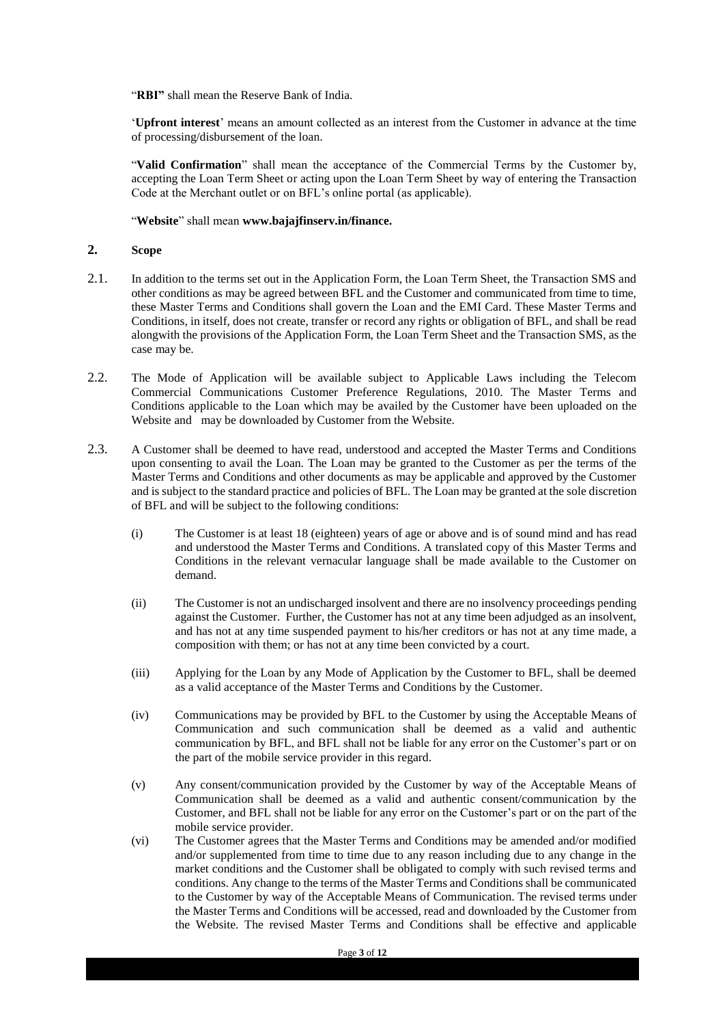"**RBI"** shall mean the Reserve Bank of India.

'**Upfront interest**' means an amount collected as an interest from the Customer in advance at the time of processing/disbursement of the loan.

"**Valid Confirmation**" shall mean the acceptance of the Commercial Terms by the Customer by, accepting the Loan Term Sheet or acting upon the Loan Term Sheet by way of entering the Transaction Code at the Merchant outlet or on BFL's online portal (as applicable).

#### "**Website**" shall mean **www.bajajfinserv.in/finance.**

## **2. Scope**

- 2.1. In addition to the terms set out in the Application Form, the Loan Term Sheet, the Transaction SMS and other conditions as may be agreed between BFL and the Customer and communicated from time to time, these Master Terms and Conditions shall govern the Loan and the EMI Card. These Master Terms and Conditions, in itself, does not create, transfer or record any rights or obligation of BFL, and shall be read alongwith the provisions of the Application Form, the Loan Term Sheet and the Transaction SMS, as the case may be.
- 2.2. The Mode of Application will be available subject to Applicable Laws including the Telecom Commercial Communications Customer Preference Regulations, 2010. The Master Terms and Conditions applicable to the Loan which may be availed by the Customer have been uploaded on the Website and may be downloaded by Customer from the Website.
- 2.3. A Customer shall be deemed to have read, understood and accepted the Master Terms and Conditions upon consenting to avail the Loan. The Loan may be granted to the Customer as per the terms of the Master Terms and Conditions and other documents as may be applicable and approved by the Customer and is subject to the standard practice and policies of BFL. The Loan may be granted at the sole discretion of BFL and will be subject to the following conditions:
	- (i) The Customer is at least 18 (eighteen) years of age or above and is of sound mind and has read and understood the Master Terms and Conditions. A translated copy of this Master Terms and Conditions in the relevant vernacular language shall be made available to the Customer on demand.
	- (ii) The Customer is not an undischarged insolvent and there are no insolvency proceedings pending against the Customer. Further, the Customer has not at any time been adjudged as an insolvent, and has not at any time suspended payment to his/her creditors or has not at any time made, a composition with them; or has not at any time been convicted by a court.
	- (iii) Applying for the Loan by any Mode of Application by the Customer to BFL, shall be deemed as a valid acceptance of the Master Terms and Conditions by the Customer.
	- (iv) Communications may be provided by BFL to the Customer by using the Acceptable Means of Communication and such communication shall be deemed as a valid and authentic communication by BFL, and BFL shall not be liable for any error on the Customer's part or on the part of the mobile service provider in this regard.
	- (v) Any consent/communication provided by the Customer by way of the Acceptable Means of Communication shall be deemed as a valid and authentic consent/communication by the Customer, and BFL shall not be liable for any error on the Customer's part or on the part of the mobile service provider.
	- (vi) The Customer agrees that the Master Terms and Conditions may be amended and/or modified and/or supplemented from time to time due to any reason including due to any change in the market conditions and the Customer shall be obligated to comply with such revised terms and conditions. Any change to the terms of the Master Terms and Conditions shall be communicated to the Customer by way of the Acceptable Means of Communication. The revised terms under the Master Terms and Conditions will be accessed, read and downloaded by the Customer from the Website. The revised Master Terms and Conditions shall be effective and applicable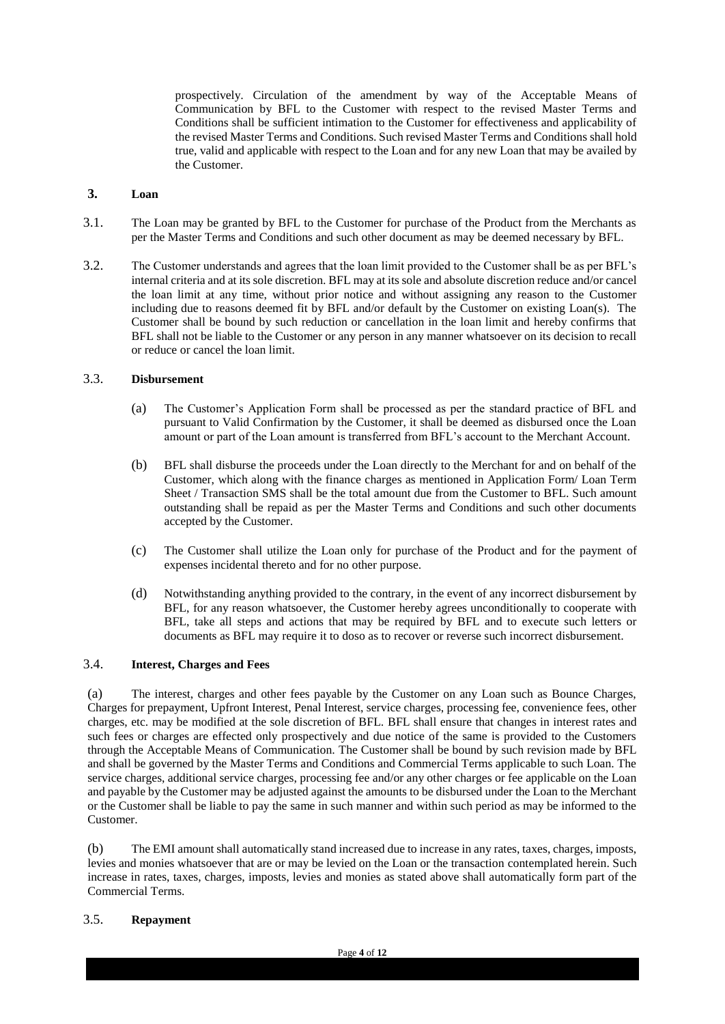prospectively. Circulation of the amendment by way of the Acceptable Means of Communication by BFL to the Customer with respect to the revised Master Terms and Conditions shall be sufficient intimation to the Customer for effectiveness and applicability of the revised Master Terms and Conditions. Such revised Master Terms and Conditions shall hold true, valid and applicable with respect to the Loan and for any new Loan that may be availed by the Customer.

# **3. Loan**

- 3.1. The Loan may be granted by BFL to the Customer for purchase of the Product from the Merchants as per the Master Terms and Conditions and such other document as may be deemed necessary by BFL.
- 3.2. The Customer understands and agrees that the loan limit provided to the Customer shall be as per BFL's internal criteria and at its sole discretion. BFL may at its sole and absolute discretion reduce and/or cancel the loan limit at any time, without prior notice and without assigning any reason to the Customer including due to reasons deemed fit by BFL and/or default by the Customer on existing Loan(s). The Customer shall be bound by such reduction or cancellation in the loan limit and hereby confirms that BFL shall not be liable to the Customer or any person in any manner whatsoever on its decision to recall or reduce or cancel the loan limit.

#### 3.3. **Disbursement**

- (a) The Customer's Application Form shall be processed as per the standard practice of BFL and pursuant to Valid Confirmation by the Customer, it shall be deemed as disbursed once the Loan amount or part of the Loan amount is transferred from BFL's account to the Merchant Account.
- (b) BFL shall disburse the proceeds under the Loan directly to the Merchant for and on behalf of the Customer, which along with the finance charges as mentioned in Application Form/ Loan Term Sheet / Transaction SMS shall be the total amount due from the Customer to BFL. Such amount outstanding shall be repaid as per the Master Terms and Conditions and such other documents accepted by the Customer.
- (c) The Customer shall utilize the Loan only for purchase of the Product and for the payment of expenses incidental thereto and for no other purpose.
- (d) Notwithstanding anything provided to the contrary, in the event of any incorrect disbursement by BFL, for any reason whatsoever, the Customer hereby agrees unconditionally to cooperate with BFL, take all steps and actions that may be required by BFL and to execute such letters or documents as BFL may require it to doso as to recover or reverse such incorrect disbursement.

### 3.4. **Interest, Charges and Fees**

(a) The interest, charges and other fees payable by the Customer on any Loan such as Bounce Charges, Charges for prepayment, Upfront Interest, Penal Interest, service charges, processing fee, convenience fees, other charges, etc. may be modified at the sole discretion of BFL. BFL shall ensure that changes in interest rates and such fees or charges are effected only prospectively and due notice of the same is provided to the Customers through the Acceptable Means of Communication. The Customer shall be bound by such revision made by BFL and shall be governed by the Master Terms and Conditions and Commercial Terms applicable to such Loan. The service charges, additional service charges, processing fee and/or any other charges or fee applicable on the Loan and payable by the Customer may be adjusted against the amounts to be disbursed under the Loan to the Merchant or the Customer shall be liable to pay the same in such manner and within such period as may be informed to the Customer.

(b) The EMI amount shall automatically stand increased due to increase in any rates, taxes, charges, imposts, levies and monies whatsoever that are or may be levied on the Loan or the transaction contemplated herein. Such increase in rates, taxes, charges, imposts, levies and monies as stated above shall automatically form part of the Commercial Terms.

## 3.5. **Repayment**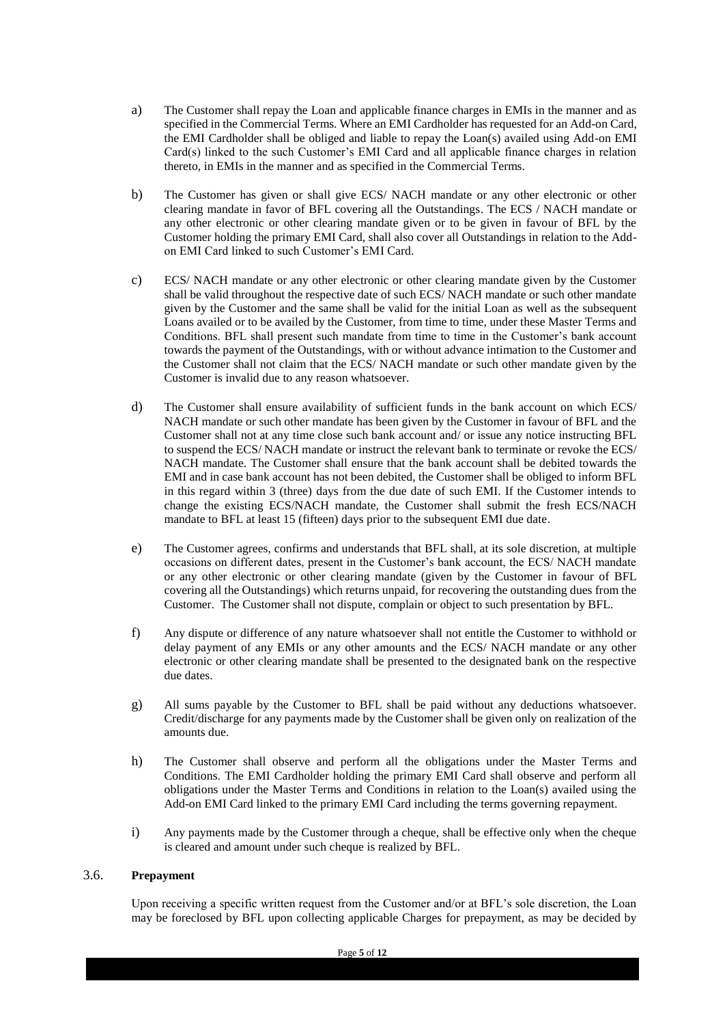- a) The Customer shall repay the Loan and applicable finance charges in EMIs in the manner and as specified in the Commercial Terms. Where an EMI Cardholder has requested for an Add-on Card, the EMI Cardholder shall be obliged and liable to repay the Loan(s) availed using Add-on EMI Card(s) linked to the such Customer's EMI Card and all applicable finance charges in relation thereto, in EMIs in the manner and as specified in the Commercial Terms.
- b) The Customer has given or shall give ECS/ NACH mandate or any other electronic or other clearing mandate in favor of BFL covering all the Outstandings. The ECS / NACH mandate or any other electronic or other clearing mandate given or to be given in favour of BFL by the Customer holding the primary EMI Card, shall also cover all Outstandings in relation to the Addon EMI Card linked to such Customer's EMI Card.
- c) ECS/ NACH mandate or any other electronic or other clearing mandate given by the Customer shall be valid throughout the respective date of such ECS/ NACH mandate or such other mandate given by the Customer and the same shall be valid for the initial Loan as well as the subsequent Loans availed or to be availed by the Customer, from time to time, under these Master Terms and Conditions. BFL shall present such mandate from time to time in the Customer's bank account towards the payment of the Outstandings, with or without advance intimation to the Customer and the Customer shall not claim that the ECS/ NACH mandate or such other mandate given by the Customer is invalid due to any reason whatsoever.
- d) The Customer shall ensure availability of sufficient funds in the bank account on which ECS/ NACH mandate or such other mandate has been given by the Customer in favour of BFL and the Customer shall not at any time close such bank account and/ or issue any notice instructing BFL to suspend the ECS/ NACH mandate or instruct the relevant bank to terminate or revoke the ECS/ NACH mandate. The Customer shall ensure that the bank account shall be debited towards the EMI and in case bank account has not been debited, the Customer shall be obliged to inform BFL in this regard within 3 (three) days from the due date of such EMI. If the Customer intends to change the existing ECS/NACH mandate, the Customer shall submit the fresh ECS/NACH mandate to BFL at least 15 (fifteen) days prior to the subsequent EMI due date.
- e) The Customer agrees, confirms and understands that BFL shall, at its sole discretion, at multiple occasions on different dates, present in the Customer's bank account, the ECS/ NACH mandate or any other electronic or other clearing mandate (given by the Customer in favour of BFL covering all the Outstandings) which returns unpaid, for recovering the outstanding dues from the Customer. The Customer shall not dispute, complain or object to such presentation by BFL.
- f) Any dispute or difference of any nature whatsoever shall not entitle the Customer to withhold or delay payment of any EMIs or any other amounts and the ECS/ NACH mandate or any other electronic or other clearing mandate shall be presented to the designated bank on the respective due dates.
- g) All sums payable by the Customer to BFL shall be paid without any deductions whatsoever. Credit/discharge for any payments made by the Customer shall be given only on realization of the amounts due.
- h) The Customer shall observe and perform all the obligations under the Master Terms and Conditions. The EMI Cardholder holding the primary EMI Card shall observe and perform all obligations under the Master Terms and Conditions in relation to the Loan(s) availed using the Add-on EMI Card linked to the primary EMI Card including the terms governing repayment.
- i) Any payments made by the Customer through a cheque, shall be effective only when the cheque is cleared and amount under such cheque is realized by BFL.

# 3.6. **Prepayment**

Upon receiving a specific written request from the Customer and/or at BFL's sole discretion, the Loan may be foreclosed by BFL upon collecting applicable Charges for prepayment, as may be decided by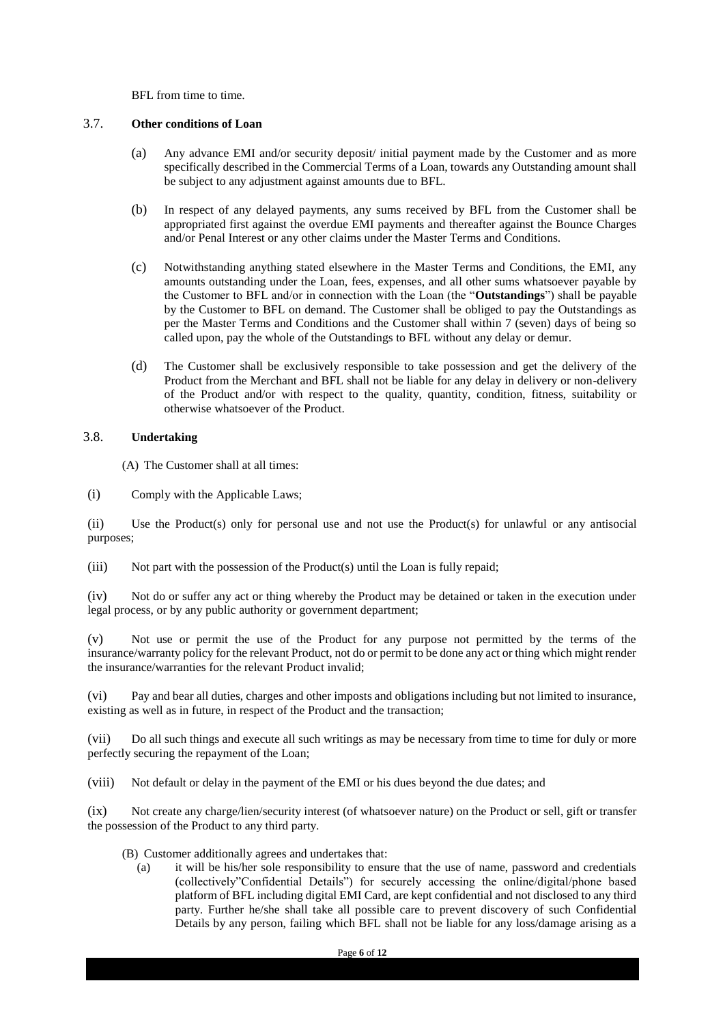BFL from time to time.

## 3.7. **Other conditions of Loan**

- (a) Any advance EMI and/or security deposit/ initial payment made by the Customer and as more specifically described in the Commercial Terms of a Loan, towards any Outstanding amount shall be subject to any adjustment against amounts due to BFL.
- (b) In respect of any delayed payments, any sums received by BFL from the Customer shall be appropriated first against the overdue EMI payments and thereafter against the Bounce Charges and/or Penal Interest or any other claims under the Master Terms and Conditions.
- (c) Notwithstanding anything stated elsewhere in the Master Terms and Conditions, the EMI, any amounts outstanding under the Loan, fees, expenses, and all other sums whatsoever payable by the Customer to BFL and/or in connection with the Loan (the "**Outstandings**") shall be payable by the Customer to BFL on demand. The Customer shall be obliged to pay the Outstandings as per the Master Terms and Conditions and the Customer shall within 7 (seven) days of being so called upon, pay the whole of the Outstandings to BFL without any delay or demur.
- (d) The Customer shall be exclusively responsible to take possession and get the delivery of the Product from the Merchant and BFL shall not be liable for any delay in delivery or non-delivery of the Product and/or with respect to the quality, quantity, condition, fitness, suitability or otherwise whatsoever of the Product.

## 3.8. **Undertaking**

(A) The Customer shall at all times:

(i) Comply with the Applicable Laws;

(ii) Use the Product(s) only for personal use and not use the Product(s) for unlawful or any antisocial purposes;

 $(iii)$  Not part with the possession of the Product(s) until the Loan is fully repaid;

(iv) Not do or suffer any act or thing whereby the Product may be detained or taken in the execution under legal process, or by any public authority or government department;

(v) Not use or permit the use of the Product for any purpose not permitted by the terms of the insurance/warranty policy for the relevant Product, not do or permit to be done any act or thing which might render the insurance/warranties for the relevant Product invalid;

(vi) Pay and bear all duties, charges and other imposts and obligations including but not limited to insurance, existing as well as in future, in respect of the Product and the transaction;

(vii) Do all such things and execute all such writings as may be necessary from time to time for duly or more perfectly securing the repayment of the Loan;

(viii) Not default or delay in the payment of the EMI or his dues beyond the due dates; and

(ix) Not create any charge/lien/security interest (of whatsoever nature) on the Product or sell, gift or transfer the possession of the Product to any third party.

- (B) Customer additionally agrees and undertakes that:
	- (a) it will be his/her sole responsibility to ensure that the use of name, password and credentials (collectively"Confidential Details") for securely accessing the online/digital/phone based platform of BFL including digital EMI Card, are kept confidential and not disclosed to any third party. Further he/she shall take all possible care to prevent discovery of such Confidential Details by any person, failing which BFL shall not be liable for any loss/damage arising as a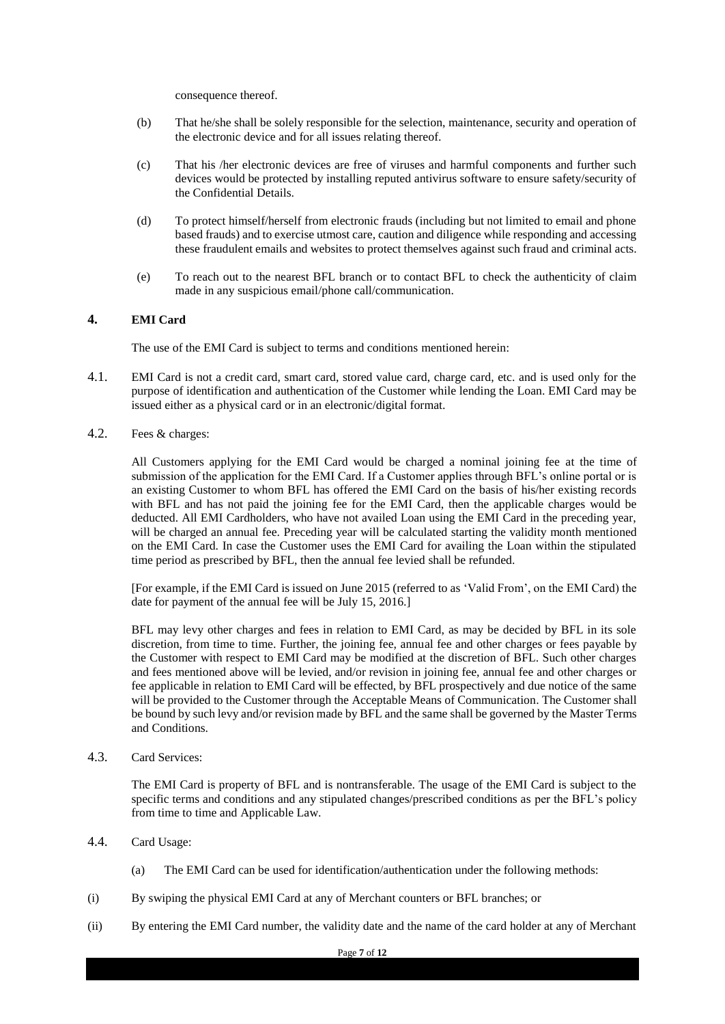consequence thereof.

- (b) That he/she shall be solely responsible for the selection, maintenance, security and operation of the electronic device and for all issues relating thereof.
- (c) That his /her electronic devices are free of viruses and harmful components and further such devices would be protected by installing reputed antivirus software to ensure safety/security of the Confidential Details.
- (d) To protect himself/herself from electronic frauds (including but not limited to email and phone based frauds) and to exercise utmost care, caution and diligence while responding and accessing these fraudulent emails and websites to protect themselves against such fraud and criminal acts.
- (e) To reach out to the nearest BFL branch or to contact BFL to check the authenticity of claim made in any suspicious email/phone call/communication.

# **4. EMI Card**

The use of the EMI Card is subject to terms and conditions mentioned herein:

- 4.1. EMI Card is not a credit card, smart card, stored value card, charge card, etc. and is used only for the purpose of identification and authentication of the Customer while lending the Loan. EMI Card may be issued either as a physical card or in an electronic/digital format.
- 4.2. Fees & charges:

All Customers applying for the EMI Card would be charged a nominal joining fee at the time of submission of the application for the EMI Card. If a Customer applies through BFL's online portal or is an existing Customer to whom BFL has offered the EMI Card on the basis of his/her existing records with BFL and has not paid the joining fee for the EMI Card, then the applicable charges would be deducted. All EMI Cardholders, who have not availed Loan using the EMI Card in the preceding year, will be charged an annual fee. Preceding year will be calculated starting the validity month mentioned on the EMI Card. In case the Customer uses the EMI Card for availing the Loan within the stipulated time period as prescribed by BFL, then the annual fee levied shall be refunded.

[For example, if the EMI Card is issued on June 2015 (referred to as 'Valid From', on the EMI Card) the date for payment of the annual fee will be July 15, 2016.]

BFL may levy other charges and fees in relation to EMI Card, as may be decided by BFL in its sole discretion, from time to time. Further, the joining fee, annual fee and other charges or fees payable by the Customer with respect to EMI Card may be modified at the discretion of BFL. Such other charges and fees mentioned above will be levied, and/or revision in joining fee, annual fee and other charges or fee applicable in relation to EMI Card will be effected, by BFL prospectively and due notice of the same will be provided to the Customer through the Acceptable Means of Communication. The Customer shall be bound by such levy and/or revision made by BFL and the same shall be governed by the Master Terms and Conditions.

4.3. Card Services:

The EMI Card is property of BFL and is nontransferable. The usage of the EMI Card is subject to the specific terms and conditions and any stipulated changes/prescribed conditions as per the BFL's policy from time to time and Applicable Law.

## 4.4. Card Usage:

- (a) The EMI Card can be used for identification/authentication under the following methods:
- (i) By swiping the physical EMI Card at any of Merchant counters or BFL branches; or
- (ii) By entering the EMI Card number, the validity date and the name of the card holder at any of Merchant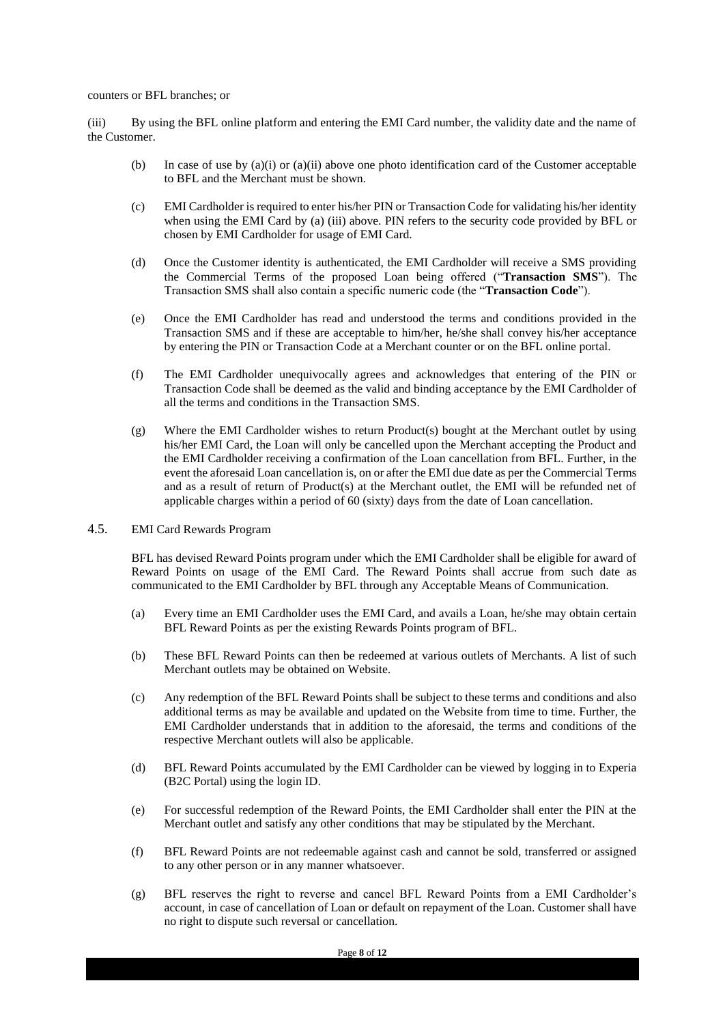counters or BFL branches; or

(iii) By using the BFL online platform and entering the EMI Card number, the validity date and the name of the Customer.

- (b) In case of use by  $(a)(i)$  or  $(a)(ii)$  above one photo identification card of the Customer acceptable to BFL and the Merchant must be shown.
- (c) EMI Cardholder is required to enter his/her PIN or Transaction Code for validating his/her identity when using the EMI Card by (a) (iii) above. PIN refers to the security code provided by BFL or chosen by EMI Cardholder for usage of EMI Card.
- (d) Once the Customer identity is authenticated, the EMI Cardholder will receive a SMS providing the Commercial Terms of the proposed Loan being offered ("**Transaction SMS**"). The Transaction SMS shall also contain a specific numeric code (the "**Transaction Code**").
- (e) Once the EMI Cardholder has read and understood the terms and conditions provided in the Transaction SMS and if these are acceptable to him/her, he/she shall convey his/her acceptance by entering the PIN or Transaction Code at a Merchant counter or on the BFL online portal.
- (f) The EMI Cardholder unequivocally agrees and acknowledges that entering of the PIN or Transaction Code shall be deemed as the valid and binding acceptance by the EMI Cardholder of all the terms and conditions in the Transaction SMS.
- (g) Where the EMI Cardholder wishes to return Product(s) bought at the Merchant outlet by using his/her EMI Card, the Loan will only be cancelled upon the Merchant accepting the Product and the EMI Cardholder receiving a confirmation of the Loan cancellation from BFL. Further, in the event the aforesaid Loan cancellation is, on or after the EMI due date as per the Commercial Terms and as a result of return of Product(s) at the Merchant outlet, the EMI will be refunded net of applicable charges within a period of 60 (sixty) days from the date of Loan cancellation.
- 4.5. EMI Card Rewards Program

BFL has devised Reward Points program under which the EMI Cardholder shall be eligible for award of Reward Points on usage of the EMI Card. The Reward Points shall accrue from such date as communicated to the EMI Cardholder by BFL through any Acceptable Means of Communication.

- (a) Every time an EMI Cardholder uses the EMI Card, and avails a Loan, he/she may obtain certain BFL Reward Points as per the existing Rewards Points program of BFL.
- (b) These BFL Reward Points can then be redeemed at various outlets of Merchants. A list of such Merchant outlets may be obtained on Website.
- (c) Any redemption of the BFL Reward Points shall be subject to these terms and conditions and also additional terms as may be available and updated on the Website from time to time. Further, the EMI Cardholder understands that in addition to the aforesaid, the terms and conditions of the respective Merchant outlets will also be applicable.
- (d) BFL Reward Points accumulated by the EMI Cardholder can be viewed by logging in to Experia (B2C Portal) using the login ID.
- (e) For successful redemption of the Reward Points, the EMI Cardholder shall enter the PIN at the Merchant outlet and satisfy any other conditions that may be stipulated by the Merchant.
- (f) BFL Reward Points are not redeemable against cash and cannot be sold, transferred or assigned to any other person or in any manner whatsoever.
- (g) BFL reserves the right to reverse and cancel BFL Reward Points from a EMI Cardholder's account, in case of cancellation of Loan or default on repayment of the Loan. Customer shall have no right to dispute such reversal or cancellation.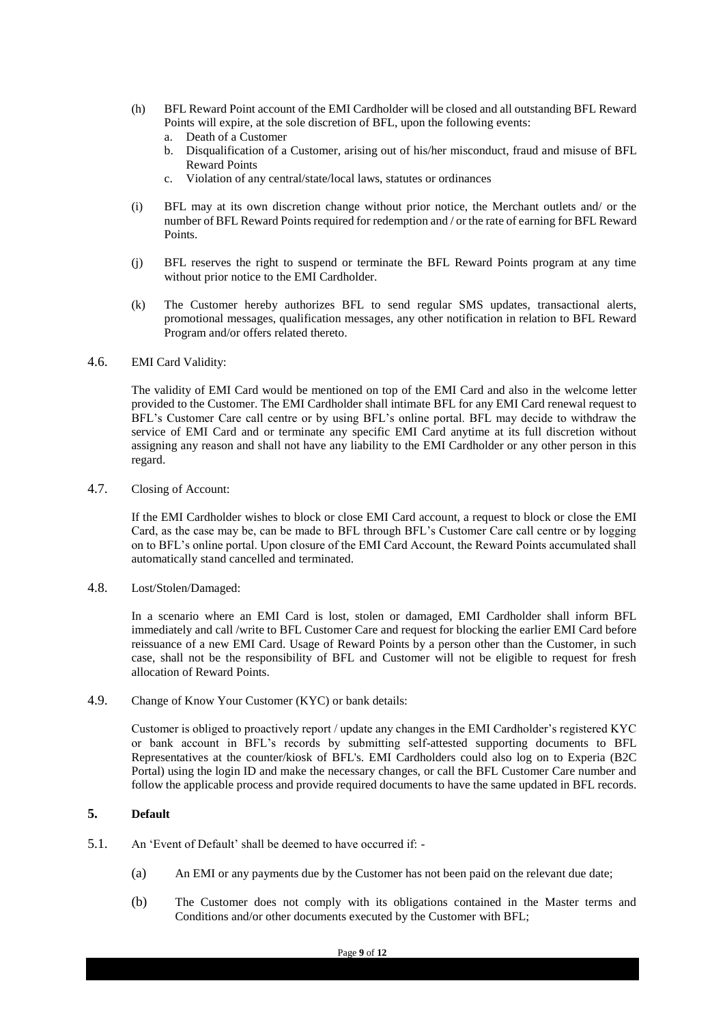- (h) BFL Reward Point account of the EMI Cardholder will be closed and all outstanding BFL Reward Points will expire, at the sole discretion of BFL, upon the following events:
	- a. Death of a Customer
	- b. Disqualification of a Customer, arising out of his/her misconduct, fraud and misuse of BFL Reward Points
	- c. Violation of any central/state/local laws, statutes or ordinances
- (i) BFL may at its own discretion change without prior notice, the Merchant outlets and/ or the number of BFL Reward Points required for redemption and / or the rate of earning for BFL Reward Points.
- (j) BFL reserves the right to suspend or terminate the BFL Reward Points program at any time without prior notice to the EMI Cardholder.
- (k) The Customer hereby authorizes BFL to send regular SMS updates, transactional alerts, promotional messages, qualification messages, any other notification in relation to BFL Reward Program and/or offers related thereto.

### 4.6. EMI Card Validity:

The validity of EMI Card would be mentioned on top of the EMI Card and also in the welcome letter provided to the Customer. The EMI Cardholder shall intimate BFL for any EMI Card renewal request to BFL's Customer Care call centre or by using BFL's online portal. BFL may decide to withdraw the service of EMI Card and or terminate any specific EMI Card anytime at its full discretion without assigning any reason and shall not have any liability to the EMI Cardholder or any other person in this regard.

4.7. Closing of Account:

If the EMI Cardholder wishes to block or close EMI Card account, a request to block or close the EMI Card, as the case may be, can be made to BFL through BFL's Customer Care call centre or by logging on to BFL's online portal. Upon closure of the EMI Card Account, the Reward Points accumulated shall automatically stand cancelled and terminated.

4.8. Lost/Stolen/Damaged:

In a scenario where an EMI Card is lost, stolen or damaged, EMI Cardholder shall inform BFL immediately and call /write to BFL Customer Care and request for blocking the earlier EMI Card before reissuance of a new EMI Card. Usage of Reward Points by a person other than the Customer, in such case, shall not be the responsibility of BFL and Customer will not be eligible to request for fresh allocation of Reward Points.

4.9. Change of Know Your Customer (KYC) or bank details:

Customer is obliged to proactively report / update any changes in the EMI Cardholder's registered KYC or bank account in BFL's records by submitting self-attested supporting documents to BFL Representatives at the counter/kiosk of BFL's. EMI Cardholders could also log on to Experia (B2C Portal) using the login ID and make the necessary changes, or call the BFL Customer Care number and follow the applicable process and provide required documents to have the same updated in BFL records.

## **5. Default**

- 5.1. An 'Event of Default' shall be deemed to have occurred if:
	- (a) An EMI or any payments due by the Customer has not been paid on the relevant due date;
	- (b) The Customer does not comply with its obligations contained in the Master terms and Conditions and/or other documents executed by the Customer with BFL;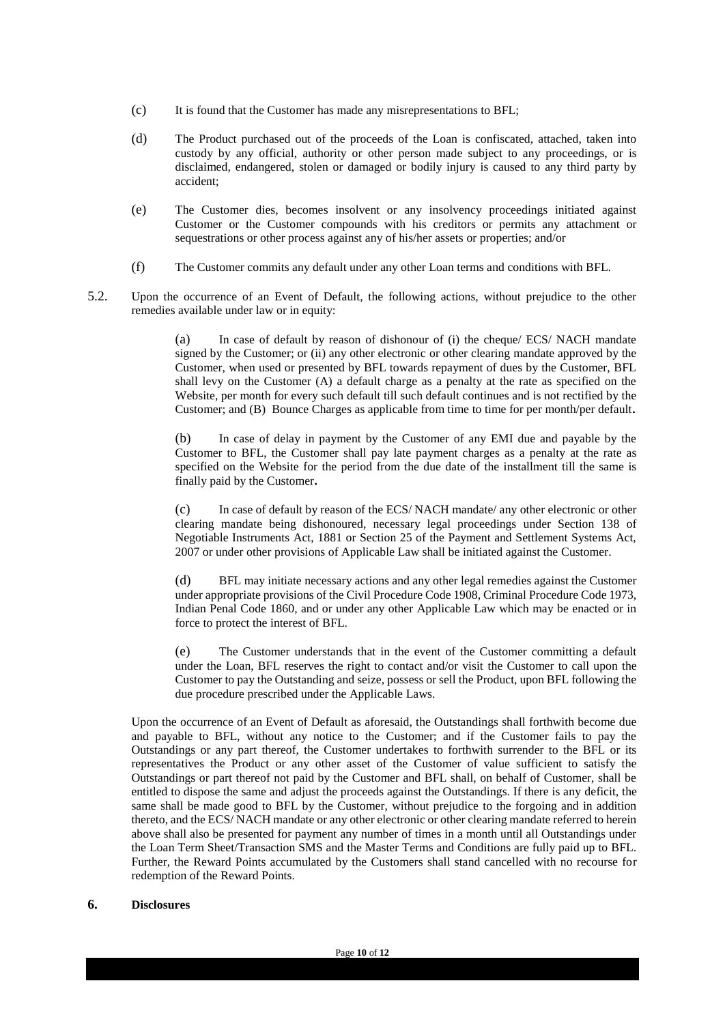- (c) It is found that the Customer has made any misrepresentations to BFL;
- (d) The Product purchased out of the proceeds of the Loan is confiscated, attached, taken into custody by any official, authority or other person made subject to any proceedings, or is disclaimed, endangered, stolen or damaged or bodily injury is caused to any third party by accident;
- (e) The Customer dies, becomes insolvent or any insolvency proceedings initiated against Customer or the Customer compounds with his creditors or permits any attachment or sequestrations or other process against any of his/her assets or properties; and/or
- (f) The Customer commits any default under any other Loan terms and conditions with BFL.
- 5.2. Upon the occurrence of an Event of Default, the following actions, without prejudice to the other remedies available under law or in equity:

(a) In case of default by reason of dishonour of (i) the cheque/ ECS/ NACH mandate signed by the Customer; or (ii) any other electronic or other clearing mandate approved by the Customer, when used or presented by BFL towards repayment of dues by the Customer, BFL shall levy on the Customer (A) a default charge as a penalty at the rate as specified on the Website, per month for every such default till such default continues and is not rectified by the Customer; and (B) Bounce Charges as applicable from time to time for per month/per default**.**

(b) In case of delay in payment by the Customer of any EMI due and payable by the Customer to BFL, the Customer shall pay late payment charges as a penalty at the rate as specified on the Website for the period from the due date of the installment till the same is finally paid by the Customer**.** 

(c) In case of default by reason of the ECS/ NACH mandate/ any other electronic or other clearing mandate being dishonoured, necessary legal proceedings under Section 138 of Negotiable Instruments Act, 1881 or Section 25 of the Payment and Settlement Systems Act, 2007 or under other provisions of Applicable Law shall be initiated against the Customer.

(d) BFL may initiate necessary actions and any other legal remedies against the Customer under appropriate provisions of the Civil Procedure Code 1908, Criminal Procedure Code 1973, Indian Penal Code 1860, and or under any other Applicable Law which may be enacted or in force to protect the interest of BFL.

(e) The Customer understands that in the event of the Customer committing a default under the Loan, BFL reserves the right to contact and/or visit the Customer to call upon the Customer to pay the Outstanding and seize, possess or sell the Product, upon BFL following the due procedure prescribed under the Applicable Laws.

Upon the occurrence of an Event of Default as aforesaid, the Outstandings shall forthwith become due and payable to BFL, without any notice to the Customer; and if the Customer fails to pay the Outstandings or any part thereof, the Customer undertakes to forthwith surrender to the BFL or its representatives the Product or any other asset of the Customer of value sufficient to satisfy the Outstandings or part thereof not paid by the Customer and BFL shall, on behalf of Customer, shall be entitled to dispose the same and adjust the proceeds against the Outstandings. If there is any deficit, the same shall be made good to BFL by the Customer, without prejudice to the forgoing and in addition thereto, and the ECS/ NACH mandate or any other electronic or other clearing mandate referred to herein above shall also be presented for payment any number of times in a month until all Outstandings under the Loan Term Sheet/Transaction SMS and the Master Terms and Conditions are fully paid up to BFL. Further, the Reward Points accumulated by the Customers shall stand cancelled with no recourse for redemption of the Reward Points.

## **6. Disclosures**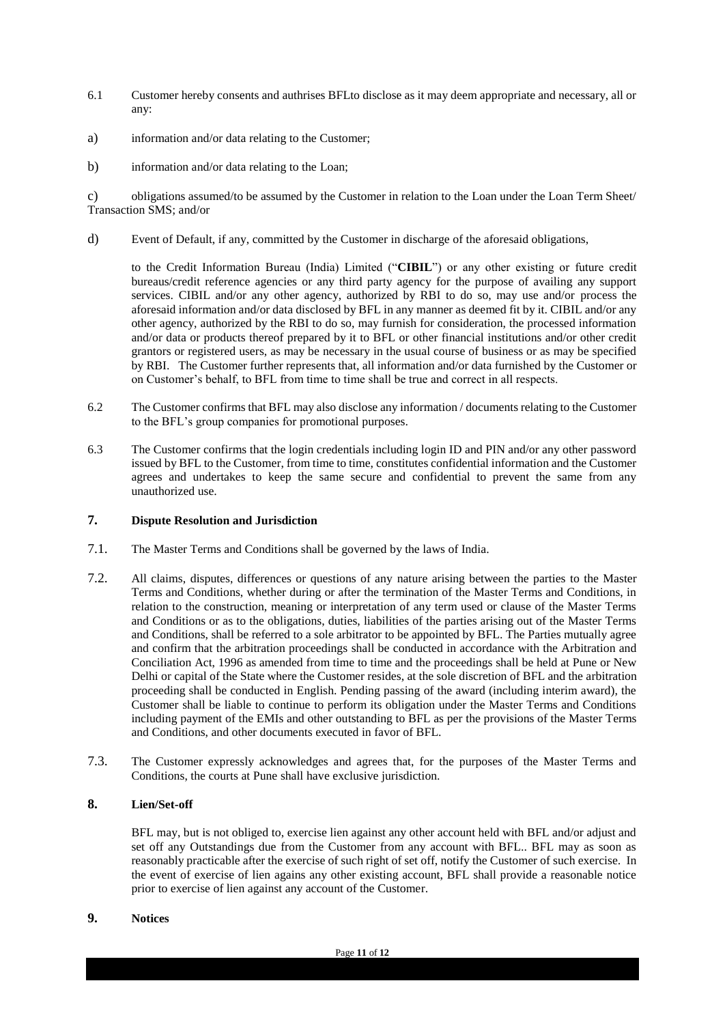- 6.1 Customer hereby consents and authrises BFLto disclose as it may deem appropriate and necessary, all or any:
- a) information and/or data relating to the Customer;
- b) information and/or data relating to the Loan;

c) obligations assumed/to be assumed by the Customer in relation to the Loan under the Loan Term Sheet/ Transaction SMS; and/or

d) Event of Default, if any, committed by the Customer in discharge of the aforesaid obligations,

to the Credit Information Bureau (India) Limited ("**CIBIL**") or any other existing or future credit bureaus/credit reference agencies or any third party agency for the purpose of availing any support services. CIBIL and/or any other agency, authorized by RBI to do so, may use and/or process the aforesaid information and/or data disclosed by BFL in any manner as deemed fit by it. CIBIL and/or any other agency, authorized by the RBI to do so, may furnish for consideration, the processed information and/or data or products thereof prepared by it to BFL or other financial institutions and/or other credit grantors or registered users, as may be necessary in the usual course of business or as may be specified by RBI. The Customer further represents that, all information and/or data furnished by the Customer or on Customer's behalf, to BFL from time to time shall be true and correct in all respects.

- 6.2 The Customer confirms that BFL may also disclose any information / documents relating to the Customer to the BFL's group companies for promotional purposes.
- 6.3 The Customer confirms that the login credentials including login ID and PIN and/or any other password issued by BFL to the Customer, from time to time, constitutes confidential information and the Customer agrees and undertakes to keep the same secure and confidential to prevent the same from any unauthorized use.

# **7. Dispute Resolution and Jurisdiction**

- 7.1. The Master Terms and Conditions shall be governed by the laws of India.
- 7.2. All claims, disputes, differences or questions of any nature arising between the parties to the Master Terms and Conditions, whether during or after the termination of the Master Terms and Conditions, in relation to the construction, meaning or interpretation of any term used or clause of the Master Terms and Conditions or as to the obligations, duties, liabilities of the parties arising out of the Master Terms and Conditions, shall be referred to a sole arbitrator to be appointed by BFL. The Parties mutually agree and confirm that the arbitration proceedings shall be conducted in accordance with the Arbitration and Conciliation Act, 1996 as amended from time to time and the proceedings shall be held at Pune or New Delhi or capital of the State where the Customer resides, at the sole discretion of BFL and the arbitration proceeding shall be conducted in English. Pending passing of the award (including interim award), the Customer shall be liable to continue to perform its obligation under the Master Terms and Conditions including payment of the EMIs and other outstanding to BFL as per the provisions of the Master Terms and Conditions, and other documents executed in favor of BFL.
- 7.3. The Customer expressly acknowledges and agrees that, for the purposes of the Master Terms and Conditions, the courts at Pune shall have exclusive jurisdiction.

## **8. Lien/Set-off**

BFL may, but is not obliged to, exercise lien against any other account held with BFL and/or adjust and set off any Outstandings due from the Customer from any account with BFL.. BFL may as soon as reasonably practicable after the exercise of such right of set off, notify the Customer of such exercise. In the event of exercise of lien agains any other existing account, BFL shall provide a reasonable notice prior to exercise of lien against any account of the Customer.

#### **9. Notices**